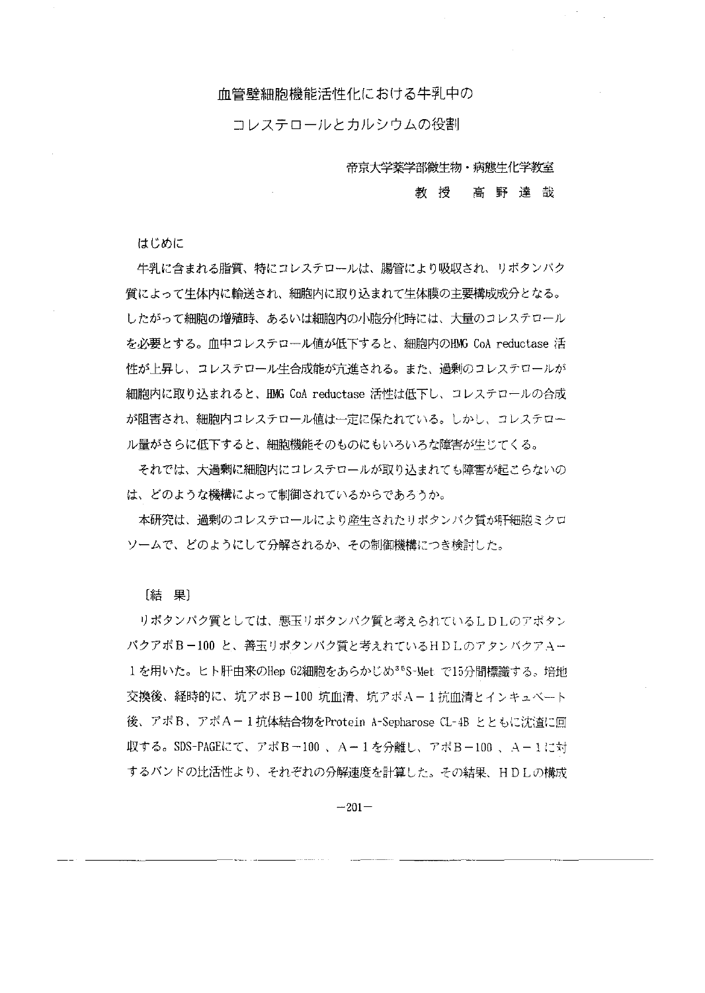## 血管壁細胞機能活性化における牛乳中の

コレステロールとカルシウムの役割

帝京大学薬学部微生物・病態生化学教室

## 教授高野達哉

はじめに

牛乳に含まれる脂質、特にコレステロールは、腸管により吸収され、リボタンパク 質によって生体内に輸送され、細胞内に取り込まれて生体膜の主要構成成分となる。 したがって細胞の増殖時、あるいは細胞内の小胞分化時には、大量のコレステロール を必要とする。血中コレステロール値が低下すると、細胞内のHMG CoA reductase 活 性が上昇し、コレステロール生合成能が流進される。また、過剰のコレスチロールが 細胞内に取り込まれると、HMG CoA reductase 活性は低下し、コレステロールの合成 が阻害され、細胞内コレステロール値は一定に保たれている。しかし、コレステロー ル量がさらに低下すると、細胞機能そのものにもいろいろな障害が生じてくる。

それでは、大過剰に細胞内にコレステロールが取り込まれでも障害が起こらないの は、どのような機構によって制御されているからであろうか。

本研究は、過剰のコレステロールにより産生されたリボタンパク質が肝細胞ミクロ ソームで、どのようにして分解されるか、その制御機構につき検討した。

[結果]

リポタンパク質としては、懇宝リボタンパク質と考えられている LDLのアポヤ〉 パクアポ B-100 と、善玉リポタンパク質と考えれている HDLのアタンバクアA-1を用いた。ヒト肝由来のHep G2細胞をあらかじめ<sup>35</sup>S~Met で15分間標識する。培地 交換後、経時的に、坑アボB-100 坑血清、坑アボA-1抗血清とインキュベート 後、アポB、アポA-1抗体結合物をProtein A-Sepharose CL-4B とともに沈査に回 収する。SDS-PAGEにて、アポ B -100 、A-1を分離し、アポ B-100 、A-1に対 するバンドの比活性より、それぞれの分解速度を計算した。その結果、 HDLの構成

 $-201-$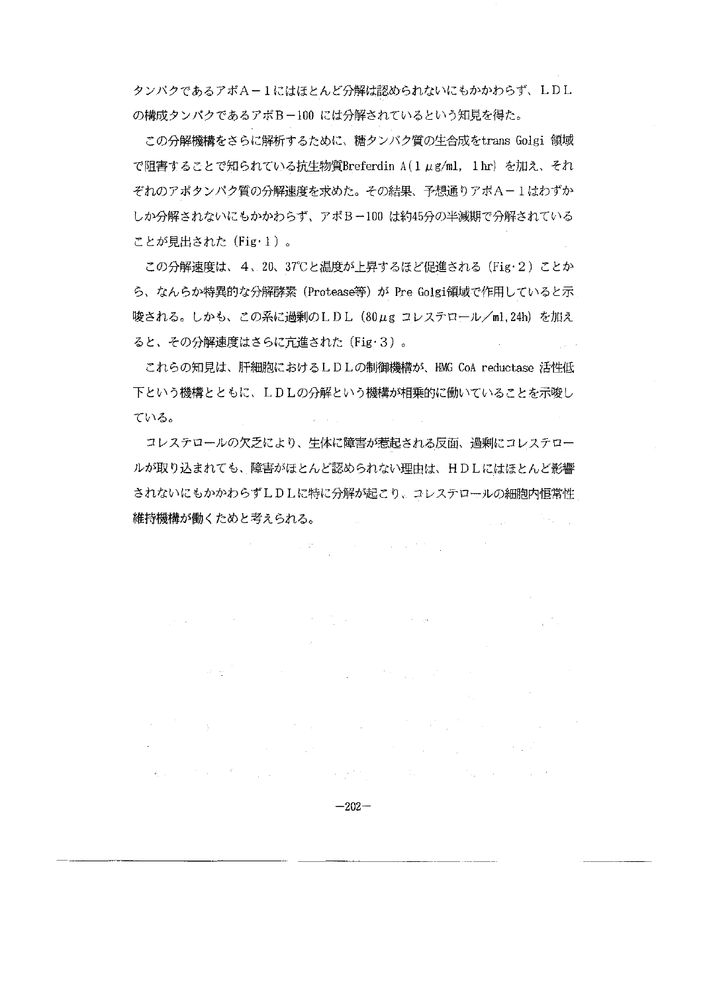タンパクであるアポA-lにはほとんど分解は認められないにもかかわらず、 LDL の構成タンパクであるアポB-100 には分解されているという知見を得た。

この分解機構をさらに解析するために、糖タンパク質の生合成をtrans Golgi 領域 で阻害することで知られている抗生物質Breferdin A(1 µg/ml. 1 hr) を加え、それ ぞれのアポタンパク質の分解速度を求めた。その結果、予想通りアポA-1はわずか しか分解されないにもかかわらず、アポ B-100は約45分の半減期で分解されている ことが見出された(Fig·1)。

この分解速度は、4、20、37℃と温度が上昇するほど促進される (Fig·2) ことか ら、なんらか特異的な分解酵素 (Protease等) が Pre Golgi領域で作用していると示 唆される。しかも、ごの系に過剰の LD L (80μgコレステロール/m1.24h) を加え ると、その分解速度はさらに先進された (Fig'3)

これらの知見は、肝細胞におけるLDLの制御機構が、HMG CoA reductase 活性低 下という機構とともに、 LDLの分解という機構が相乗的に働いているごとを示唆し ている。

コレステロールの欠之により、生体に障害が惹起される反面、過剰にコレステロー ルが取り込まれでも、障害がほとんど認められない理由は、 HDLにはほとんど影響 されないにもかかわらず LDLに特に分解が起ごり、コレステロールの細胞内恒常性 維持機構が働くためと考えられる。  $\frac{1}{2}$  ,  $\frac{1}{2}$  ,  $\frac{1}{2}$  $\mathcal{H}_{\text{max}}$  .

 $\label{eq:2} \mathcal{L}^{\mathcal{A}}(\mathcal{A})=\mathcal{L}^{\mathcal{A}}_{\mathcal{A}}(\mathcal{A})\mathcal{A}^{\mathcal{A}}(\mathcal{A})\mathcal{A}^{\mathcal{A}}(\mathcal{A}).$ 

 $\label{eq:2.1} \mathcal{L}^{\mathcal{A}}(\mathcal{A}) = \mathcal{L}^{\mathcal{A}}(\mathcal{A}) = \mathcal{L}^{\mathcal{A}}(\mathcal{A})$ 

 $\mathcal{L}(\mathcal{A})$  and  $\mathcal{L}(\mathcal{A})$ 

 $\mathcal{L}_{\mathcal{A}}$  and  $\mathcal{L}_{\mathcal{A}}$  are the set of the set of  $\mathcal{A}$ 

 $\label{eq:2.1} \mathcal{L}=\frac{1}{2}\left(\frac{1}{2}\left(1-\frac{1}{2}\right)\right)\mathcal{L}^2+\frac{1}{2}\left(\frac{1}{2}\left(1-\frac{1}{2}\right)\right)\mathcal{L}^2.$ 

 $\mathcal{L}^{\text{max}}(\mathcal{A})$  ,  $\mathcal{A}^{\text{max}}$ 

 $\mathcal{A}^{\mathcal{A}}$  and  $\mathcal{A}^{\mathcal{A}}$  are the set of the set of the set of the set of the set of the set of the set of the set of the set of the set of the set of the set of the set of the set of the set of the set of the s

 $\label{eq:2.1} \mathcal{L}(\mathcal{L}^{\mathcal{L}}(\mathcal{L}^{\mathcal{L}}(\mathcal{L}^{\mathcal{L}}(\mathcal{L}^{\mathcal{L}}(\mathcal{L}^{\mathcal{L}}(\mathcal{L}^{\mathcal{L}}(\mathcal{L}^{\mathcal{L}}(\mathcal{L}^{\mathcal{L}}(\mathcal{L}^{\mathcal{L}}(\mathcal{L}^{\mathcal{L}}(\mathcal{L}^{\mathcal{L}}(\mathcal{L}^{\mathcal{L}}(\mathcal{L}^{\mathcal{L}}(\mathcal{L}^{\mathcal{L}}(\mathcal{L}^{\mathcal{L}}(\mathcal{L}^{\mathcal$ 

 $\label{eq:2} \frac{1}{\sqrt{2}}\sum_{i=1}^n\frac{1}{2\pi i}\sum_{i=1}^n\frac{1}{2\pi i}\sum_{i=1}^n\frac{1}{2\pi i}\sum_{i=1}^n\frac{1}{2\pi i}\sum_{i=1}^n\frac{1}{2\pi i}\sum_{i=1}^n\frac{1}{2\pi i}\sum_{i=1}^n\frac{1}{2\pi i}\sum_{i=1}^n\frac{1}{2\pi i}\sum_{i=1}^n\frac{1}{2\pi i}\sum_{i=1}^n\frac{1}{2\pi i}\sum_{i=1}^n\frac{1}{2\pi i}\sum_{i=$ 

 $-202-$ 

医动物学 化三氯化合物 医心包 医心包结 医心包 医心包 医阿尔伯氏征 医心包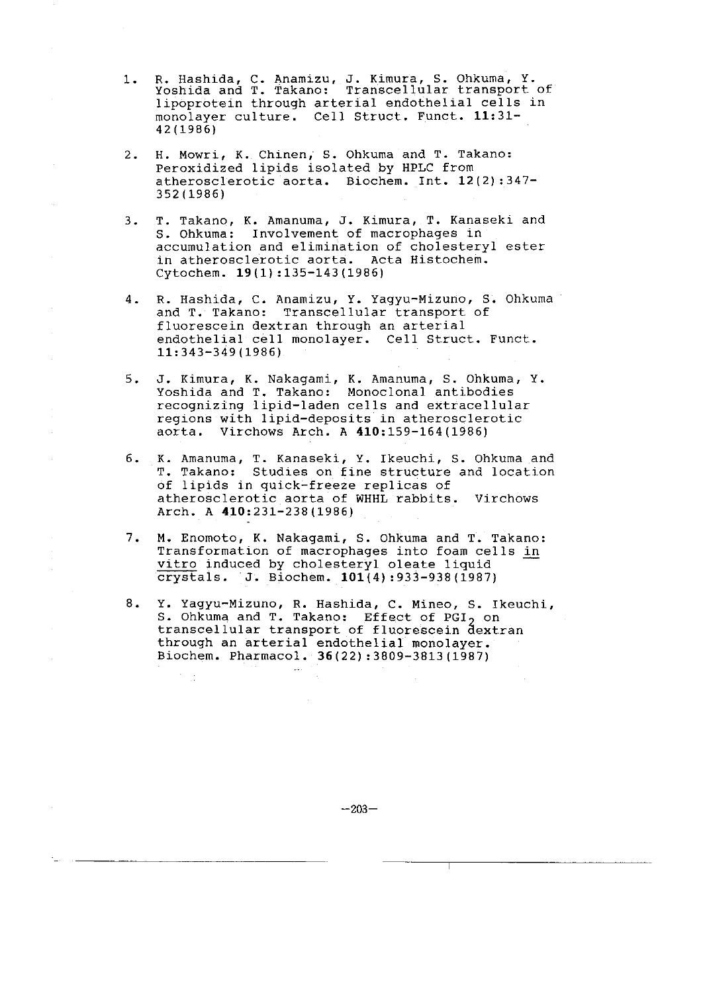- 1. R. Hashida, C. Anamizu, J. Kimura, S. Ohkuma, Y. Yoshida and T. Takano: Transcellular transport of lipoprotein through arterial endothelial cells in monolayer culture. Cell Struct. Funct. 11:31- 42(1986)
- 2. H. Mowri, K. Chinen, S. Ohkuma and T. Takano: Peroxidized lipids isolated by HPLC from atherosclerotic aorta. Biochem. Int. 12(2) :347- 352(1986)
- 3. T. Takano, K. Amanuma, J. Kimura, T. Kanaseki and S. Ohkuma: Involvement of macrophages in accumulation and elimination of cholesteryl ester in atherosclerotic aorta. Acta Histochem. Cytochem. 19(1) :135-143(1986)
- 4. R. Hashida, C. Anamizu, Y. Yagyu-Mizuno, S. Ohkuma and T. Takano: Transcellular transport of fluorescein dextran through an arterial endothelial cell monolayer. Cell Struct. Funct. 11:343-349(1986)
- 5. J. Kimura, K. Nakagami, K. Amanuma, S. Ohkuma, Y. Yoshida and T. Takano: Monoclonal antibodies recognizing lipid-laden cells and extracellular regions with lipid-deposits in atherosclerotic aorta. Virchows Arch. A 410:159-164(1986)
- 6. K. Amanuma, T. Kanaseki, Y. Ikeuchi, S. Ohkuma and T. Takano: Studies on fine structure and location of lipids in quick-freeze replicas of atherosclerotic aorta of WHHL rabbits. Virchows Arch. A 410:231-238(1986)
- 7. M. Enomoto, K. Nakagami, S. Ohkuma and T. Takano: Transformation of macrophages into foam cells in vitro induced by cholesteryl oleate liquid crystals. J. Biochem. 101(4) :933-938(1987)
- 8. Y. Yagyu-Mizuno, R. Hashida, C. Mineo, S. Ikeuchi, S. Ohkuma and T. Takano: Effect of PGI<sub>2</sub> on transcellular transport of fluorescein dextran through an arterial endothelial monolayer. Biochem. Pharmacol. 36(22) :3809-3813(1987)

 $-203-$